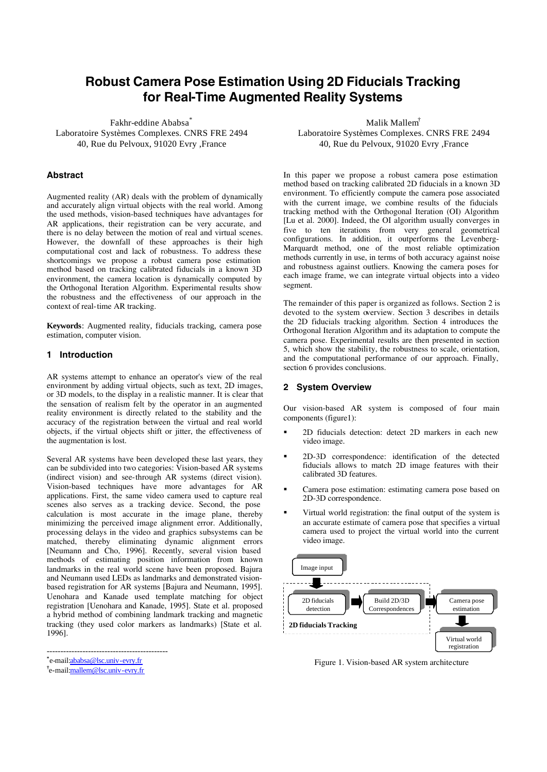# **Robust Camera Pose Estimation Using 2D Fiducials Tracking for Real-Time Augmented Reality Systems**

Fakhr-eddine Ababsa<sup>\*</sup> Laboratoire Systèmes Complexes. CNRS FRE 2494 40, Rue du Pelvoux, 91020 Evry ,France

# **Abstract**

Augmented reality (AR) deals with the problem of dynamically and accurately align virtual objects with the real world. Among the used methods, vision-based techniques have advantages for AR applications, their registration can be very accurate, and there is no delay between the motion of real and virtual scenes. However, the downfall of these approaches is their high computational cost and lack of robustness. To address these shortcomings we propose a robust camera pose estimation method based on tracking calibrated fiducials in a known 3D environment, the camera location is dynamically computed by the Orthogonal Iteration Algorithm. Experimental results show the robustness and the effectiveness of our approach in the context of real-time AR tracking.

**Keywords**: Augmented reality, fiducials tracking, camera pose estimation, computer vision.

# **1 Introduction**

AR systems attempt to enhance an operator's view of the real environment by adding virtual objects, such as text, 2D images, or 3D models, to the display in a realistic manner. It is clear that the sensation of realism felt by the operator in an augmented reality environment is directly related to the stability and the accuracy of the registration between the virtual and real world objects, if the virtual objects shift or jitter, the effectiveness of the augmentation is lost.

Several AR systems have been developed these last years, they can be subdivided into two categories: Vision-based AR systems (indirect vision) and see-through AR systems (direct vision). Vision-based techniques have more advantages for AR applications. First, the same video camera used to capture real scenes also serves as a tracking device. Second, the pose calculation is most accurate in the image plane, thereby minimizing the perceived image alignment error. Additionally, processing delays in the video and graphics subsystems can be matched, thereby eliminating dynamic alignment errors [Neumann and Cho, 1996]. Recently, several vision based methods of estimating position information from known landmarks in the real world scene have been proposed. Bajura and Neumann used LEDs as landmarks and demonstrated visionbased registration for AR systems [Bajura and Neumann, 1995]. Uenohara and Kanade used template matching for object registration [Uenohara and Kanade, 1995]. State et al. proposed a hybrid method of combining landmark tracking and magnetic tracking (they used color markers as landmarks) [State et al. 1996].

--------------------------------------------

Malik Mallem† Laboratoire Systèmes Complexes. CNRS FRE 2494 40, Rue du Pelvoux, 91020 Evry ,France

In this paper we propose a robust camera pose estimation method based on tracking calibrated 2D fiducials in a known 3D environment. To efficiently compute the camera pose associated with the current image, we combine results of the fiducials tracking method with the Orthogonal Iteration (OI) Algorithm [Lu et al. 2000]. Indeed, the OI algorithm usually converges in five to ten iterations from very general geometrical configurations. In addition, it outperforms the Levenberg-Marquardt method, one of the most reliable optimization methods currently in use, in terms of both accuracy against noise and robustness against outliers. Knowing the camera poses for each image frame, we can integrate virtual objects into a video segment.

The remainder of this paper is organized as follows. Section 2 is devoted to the system overview. Section 3 describes in details the 2D fiducials tracking algorithm. Section 4 introduces the Orthogonal Iteration Algorithm and its adaptation to compute the camera pose. Experimental results are then presented in section 5, which show the stability, the robustness to scale, orientation, and the computational performance of our approach. Finally, section 6 provides conclusions.

# **2 System Overview**

Our vision-based AR system is composed of four main components (figure1):

- ß 2D fiducials detection: detect 2D markers in each new video image.
- ß 2D-3D correspondence: identification of the detected fiducials allows to match 2D image features with their calibrated 3D features.
- ß Camera pose estimation: estimating camera pose based on 2D-3D correspondence.
- ß Virtual world registration: the final output of the system is an accurate estimate of camera pose that specifies a virtual camera used to project the virtual world into the current video image.



Figure 1. Vision-based AR system architecture

**<sup>\*</sup>** e-mail:ababsa@lsc.univ-evry.fr

**<sup>†</sup>** e-mail:mallem@lsc.univ-evry.fr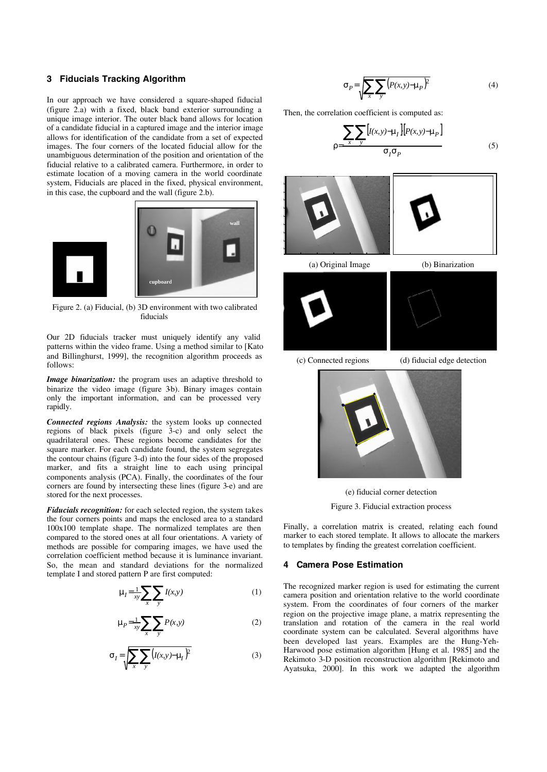## **3 Fiducials Tracking Algorithm**

In our approach we have considered a square-shaped fiducial (figure 2.a) with a fixed, black band exterior surrounding a unique image interior. The outer black band allows for location of a candidate fiducial in a captured image and the interior image allows for identification of the candidate from a set of expected images. The four corners of the located fiducial allow for the unambiguous determination of the position and orientation of the fiducial relative to a calibrated camera. Furthermore, in order to estimate location of a moving camera in the world coordinate system, Fiducials are placed in the fixed, physical environment, in this case, the cupboard and the wall (figure 2.b).



Figure 2. (a) Fiducial, (b) 3D environment with two calibrated fiducials

Our 2D fiducials tracker must uniquely identify any valid patterns within the video frame. Using a method similar to [Kato and Billinghurst, 1999], the recognition algorithm proceeds as follows:

*Image binarization:* the program uses an adaptive threshold to binarize the video image (figure 3b). Binary images contain only the important information, and can be processed very rapidly.

*Connected regions Analysis:* the system looks up connected regions of black pixels (figure 3-c) and only select the quadrilateral ones. These regions become candidates for the square marker. For each candidate found, the system segregates the contour chains (figure 3-d) into the four sides of the proposed marker, and fits a straight line to each using principal components analysis (PCA). Finally, the coordinates of the four corners are found by intersecting these lines (figure 3-e) and are stored for the next processes.

*Fiducials recognition:* for each selected region, the system takes the four corners points and maps the enclosed area to a standard 100x100 template shape. The normalized templates are then compared to the stored ones at all four orientations. A variety of methods are possible for comparing images, we have used the correlation coefficient method because it is luminance invariant. So, the mean and standard deviations for the normalized template I and stored pattern P are first computed:

$$
\mu_I = \frac{1}{xy} \sum_x \sum_y I(x, y) \tag{1}
$$

$$
\mu_P = \frac{1}{xy} \sum_x \sum_y P(x, y) \tag{2}
$$

$$
\sigma_I = \sqrt{\sum_{x} \sum_{y} (I(x, y) - \mu_I)^2}
$$
 (3)

$$
\sigma_P = \sqrt{\sum_{x} \sum_{y} (P(x, y) - \mu_P)^2}
$$
 (4)

Then, the correlation coefficient is computed as:

ρ=

$$
\frac{\sum_{x} \sum_{y} [I(x, y) - \mu_I] [P(x, y) - \mu_P]}{\sigma_I \sigma_P} \tag{5}
$$





(c) Connected regions (d) fiducial edge detection



(e) fiducial corner detection Figure 3. Fiducial extraction process

Finally, a correlation matrix is created, relating each found marker to each stored template. It allows to allocate the markers to templates by finding the greatest correlation coefficient.

## **4 Camera Pose Estimation**

The recognized marker region is used for estimating the current camera position and orientation relative to the world coordinate system. From the coordinates of four corners of the marker region on the projective image plane, a matrix representing the translation and rotation of the camera in the real world coordinate system can be calculated. Several algorithms have been developed last years. Examples are the Hung-Yeh-Harwood pose estimation algorithm [Hung et al. 1985] and the Rekimoto 3-D position reconstruction algorithm [Rekimoto and Ayatsuka, 2000]. In this work we adapted the algorithm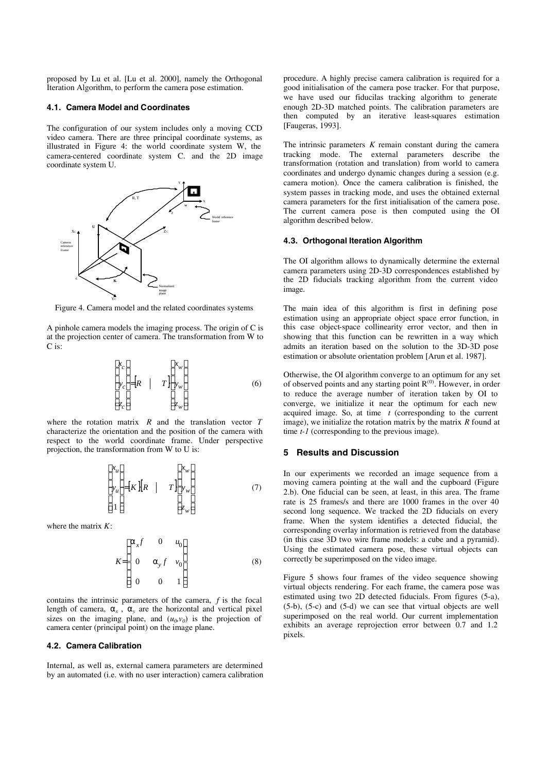proposed by Lu et al. [Lu et al. 2000], namely the Orthogonal Iteration Algorithm, to perform the camera pose estimation.

#### **4.1. Camera Model and Coordinates**

The configuration of our system includes only a moving CCD video camera. There are three principal coordinate systems, as illustrated in Figure 4: the world coordinate system W, the camera-centered coordinate system C. and the 2D image coordinate system U.



Figure 4. Camera model and the related coordinates systems

A pinhole camera models the imaging process. The origin of C is at the projection center of camera. The transformation from W to C is:

$$
\begin{bmatrix} x_c \\ y_c \\ z_c \end{bmatrix} = \begin{bmatrix} R & | & T \end{bmatrix} \begin{bmatrix} x_w \\ y_w \\ z_w \end{bmatrix}
$$
 (6)

where the rotation matrix *R* and the translation vector *T* characterize the orientation and the position of the camera with respect to the world coordinate frame. Under perspective projection, the transformation from W to U is:

$$
\begin{bmatrix} x_u \\ y_u \\ 1 \end{bmatrix} = [K] \begin{bmatrix} R & | & T \end{bmatrix} \begin{bmatrix} x_w \\ y_w \\ z_w \end{bmatrix} \tag{7}
$$

where the matrix *K*:

$$
K = \begin{bmatrix} \alpha_x f & 0 & u_0 \\ 0 & \alpha_y f & v_0 \\ 0 & 0 & 1 \end{bmatrix}
$$
 (8)

contains the intrinsic parameters of the camera, *f* is the focal length of camera,  $a_x$ ,  $a_y$  are the horizontal and vertical pixel sizes on the imaging plane, and  $(u_0, v_0)$  is the projection of camera center (principal point) on the image plane.

# **4.2. Camera Calibration**

Internal, as well as, external camera parameters are determined by an automated (i.e. with no user interaction) camera calibration procedure. A highly precise camera calibration is required for a good initialisation of the camera pose tracker. For that purpose, we have used our fiducilas tracking algorithm to generate enough 2D-3D matched points. The calibration parameters are then computed by an iterative least-squares estimation [Faugeras, 1993].

The intrinsic parameters *K* remain constant during the camera tracking mode. The external parameters describe the transformation (rotation and translation) from world to camera coordinates and undergo dynamic changes during a session (e.g. camera motion). Once the camera calibration is finished, the system passes in tracking mode, and uses the obtained external camera parameters for the first initialisation of the camera pose. The current camera pose is then computed using the OI algorithm described below.

#### **4.3. Orthogonal Iteration Algorithm**

The OI algorithm allows to dynamically determine the external camera parameters using 2D-3D correspondences established by the 2D fiducials tracking algorithm from the current video image.

The main idea of this algorithm is first in defining pose estimation using an appropriate object space error function, in this case object-space collinearity error vector, and then in showing that this function can be rewritten in a way which admits an iteration based on the solution to the 3D-3D pose estimation or absolute orientation problem [Arun et al. 1987].

Otherwise, the OI algorithm converge to an optimum for any set of observed points and any starting point R<sup>(0)</sup>. However, in order to reduce the average number of iteration taken by OI to converge, we initialize it near the optimum for each new acquired image. So, at time *t* (corresponding to the current image), we initialize the rotation matrix by the matrix *R* found at time *t*-1 (corresponding to the previous image).

#### **5 Results and Discussion**

In our experiments we recorded an image sequence from a moving camera pointing at the wall and the cupboard (Figure 2.b). One fiducial can be seen, at least, in this area. The frame rate is 25 frames/s and there are 1000 frames in the over 40 second long sequence. We tracked the 2D fiducials on every frame. When the system identifies a detected fiducial, the corresponding overlay information is retrieved from the database (in this case 3D two wire frame models: a cube and a pyramid). Using the estimated camera pose, these virtual objects can correctly be superimposed on the video image.

Figure 5 shows four frames of the video sequence showing virtual objects rendering. For each frame, the camera pose was estimated using two 2D detected fiducials. From figures (5-a), (5-b), (5-c) and (5-d) we can see that virtual objects are well superimposed on the real world. Our current implementation exhibits an average reprojection error between 0.7 and 1.2 pixels.